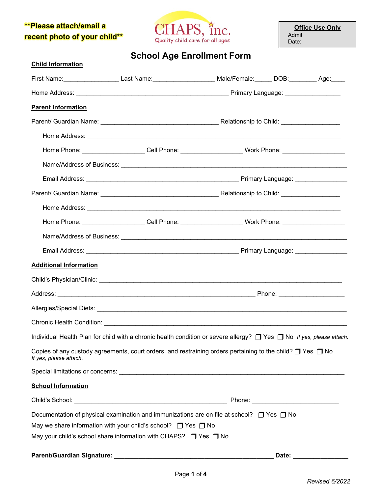## **\*\*Please attach/email a recent photo of your child\*\***



**Office Use Only** Admit Date:

**School Age Enrollment Form**

| <b>Child Information</b>                                                |                                                                                                                                 |  |       |  |
|-------------------------------------------------------------------------|---------------------------------------------------------------------------------------------------------------------------------|--|-------|--|
|                                                                         | First Name:______________________Last Name:______________________Male/Female:_______DOB:___________Age:_____                    |  |       |  |
|                                                                         |                                                                                                                                 |  |       |  |
| <b>Parent Information</b>                                               |                                                                                                                                 |  |       |  |
|                                                                         |                                                                                                                                 |  |       |  |
|                                                                         |                                                                                                                                 |  |       |  |
|                                                                         | Home Phone: ____________________Cell Phone: ______________________Work Phone: _____________________                             |  |       |  |
|                                                                         |                                                                                                                                 |  |       |  |
|                                                                         |                                                                                                                                 |  |       |  |
|                                                                         |                                                                                                                                 |  |       |  |
|                                                                         |                                                                                                                                 |  |       |  |
|                                                                         | Home Phone: _____________________Cell Phone: ___________________________Work Phone: _____________________                       |  |       |  |
|                                                                         |                                                                                                                                 |  |       |  |
|                                                                         |                                                                                                                                 |  |       |  |
| <b>Additional Information</b>                                           |                                                                                                                                 |  |       |  |
|                                                                         |                                                                                                                                 |  |       |  |
|                                                                         |                                                                                                                                 |  |       |  |
|                                                                         |                                                                                                                                 |  |       |  |
|                                                                         |                                                                                                                                 |  |       |  |
|                                                                         | Individual Health Plan for child with a chronic health condition or severe allergy? $\Box$ Yes $\Box$ No If yes, please attach. |  |       |  |
| If yes, please attach.                                                  | Copies of any custody agreements, court orders, and restraining orders pertaining to the child? $\Box$ Yes $\Box$ No            |  |       |  |
|                                                                         |                                                                                                                                 |  |       |  |
| <b>School Information</b>                                               |                                                                                                                                 |  |       |  |
|                                                                         |                                                                                                                                 |  |       |  |
|                                                                         | Documentation of physical examination and immunizations are on file at school? $\Box$ Yes $\Box$ No                             |  |       |  |
| May we share information with your child's school? $\Box$ Yes $\Box$ No |                                                                                                                                 |  |       |  |
|                                                                         | May your child's school share information with CHAPS? □ Yes □ No                                                                |  |       |  |
|                                                                         |                                                                                                                                 |  | Date: |  |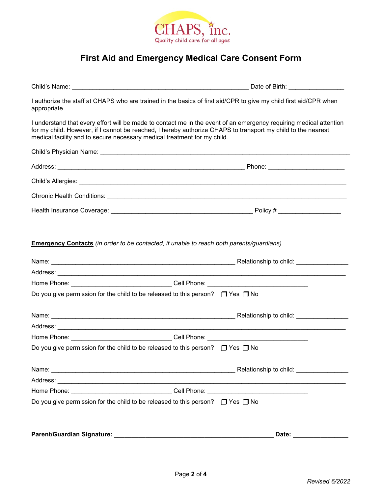

## **First Aid and Emergency Medical Care Consent Form**

Child's Name: \_\_\_\_\_\_\_\_\_\_\_\_\_\_\_\_\_\_\_\_\_\_\_\_\_\_\_\_\_\_\_\_\_\_\_\_\_\_\_\_\_\_\_\_\_\_\_\_\_\_\_ Date of Birth: \_\_\_\_\_\_\_\_\_\_\_\_\_\_\_\_

I authorize the staff at CHAPS who are trained in the basics of first aid/CPR to give my child first aid/CPR when appropriate.

I understand that every effort will be made to contact me in the event of an emergency requiring medical attention for my child. However, if I cannot be reached, I hereby authorize CHAPS to transport my child to the nearest medical facility and to secure necessary medical treatment for my child.

|                                                                                          | Chronic Health Conditions: [19] [19] Chronic Conditions: [19] Chronic Chronic Conditions: [19] Chronic Chronic Conditions: [19] Chronic Chronic Chronic Chronic Chronic Chronic Chronic Chronic Chronic Chronic Chronic Chroni |
|------------------------------------------------------------------------------------------|--------------------------------------------------------------------------------------------------------------------------------------------------------------------------------------------------------------------------------|
|                                                                                          |                                                                                                                                                                                                                                |
|                                                                                          | Emergency Contacts (in order to be contacted, if unable to reach both parents/guardians)                                                                                                                                       |
|                                                                                          |                                                                                                                                                                                                                                |
|                                                                                          |                                                                                                                                                                                                                                |
|                                                                                          | Home Phone: _________________________________Cell Phone: ________________________                                                                                                                                              |
| Do you give permission for the child to be released to this person? $\Box$ Yes $\Box$ No |                                                                                                                                                                                                                                |
|                                                                                          |                                                                                                                                                                                                                                |
|                                                                                          |                                                                                                                                                                                                                                |
|                                                                                          | Home Phone: _________________________________Cell Phone: ________________________                                                                                                                                              |
| Do you give permission for the child to be released to this person? $\Box$ Yes $\Box$ No |                                                                                                                                                                                                                                |
|                                                                                          |                                                                                                                                                                                                                                |
|                                                                                          |                                                                                                                                                                                                                                |
|                                                                                          | Home Phone: _________________________________Cell Phone: ________________________                                                                                                                                              |
| Do you give permission for the child to be released to this person? $\Box$ Yes $\Box$ No |                                                                                                                                                                                                                                |
|                                                                                          |                                                                                                                                                                                                                                |
|                                                                                          |                                                                                                                                                                                                                                |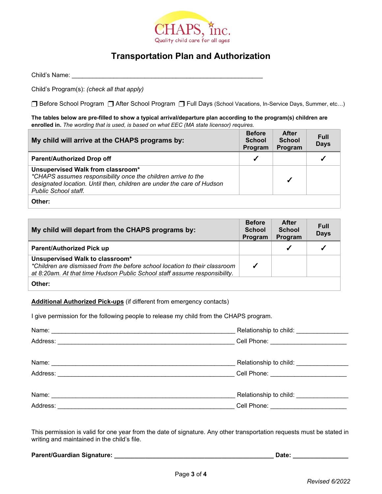

## **Transportation Plan and Authorization**

Child's Name: \_\_\_\_\_\_\_\_\_\_\_\_\_\_\_\_\_\_\_\_\_\_\_\_\_\_\_\_\_\_\_\_\_\_\_\_\_\_\_\_\_\_\_\_\_\_\_\_\_\_\_\_\_\_\_

Child's Program(s): *(check all that apply)*

Before School Program After School Program Full Days (School Vacations, In-Service Days, Summer, etc…)

**The tables below are pre-filled to show a typical arrival/departure plan according to the program(s) children are enrolled in.** *The wording that is used, is based on what EEC (MA state licensor) requires.*

| My child will arrive at the CHAPS programs by:                                                                                                                                                       | <b>Before</b><br><b>School</b><br>Program | <b>After</b><br><b>School</b><br>Program | <b>Full</b><br><b>Days</b> |
|------------------------------------------------------------------------------------------------------------------------------------------------------------------------------------------------------|-------------------------------------------|------------------------------------------|----------------------------|
| <b>Parent/Authorized Drop off</b>                                                                                                                                                                    | ✔                                         |                                          |                            |
| Unsupervised Walk from classroom*<br>*CHAPS assumes responsibility once the children arrive to the<br>designated location. Until then, children are under the care of Hudson<br>Public School staff. |                                           |                                          |                            |
| Other:                                                                                                                                                                                               |                                           |                                          |                            |

| My child will depart from the CHAPS programs by:                                                                                                                                           | <b>Before</b><br><b>School</b><br>Program | <b>After</b><br><b>School</b><br>Program | Full<br><b>Days</b> |
|--------------------------------------------------------------------------------------------------------------------------------------------------------------------------------------------|-------------------------------------------|------------------------------------------|---------------------|
| <b>Parent/Authorized Pick up</b>                                                                                                                                                           |                                           |                                          | ✔                   |
| Unsupervised Walk to classroom*<br>*Children are dismissed from the before school location to their classroom<br>at 8:20am. At that time Hudson Public School staff assume responsibility. |                                           |                                          |                     |
| Other:                                                                                                                                                                                     |                                           |                                          |                     |

## **Additional Authorized Pick-ups** (if different from emergency contacts)

I give permission for the following people to release my child from the CHAPS program.

|                                                                                                               | Relationship to child: ________________                                                                                                                                                                                          |
|---------------------------------------------------------------------------------------------------------------|----------------------------------------------------------------------------------------------------------------------------------------------------------------------------------------------------------------------------------|
|                                                                                                               | Cell Phone: ___________________________                                                                                                                                                                                          |
|                                                                                                               |                                                                                                                                                                                                                                  |
|                                                                                                               | Relationship to child:<br>Notice that the set of the set of the set of the set of the set of the set of the set of the set of the set of the set of the set of the set of the set of the set of the set of the set of the set of |
| Address: 2008 - 2008 - 2008 - 2008 - 2010 - 2010 - 2010 - 2010 - 2010 - 2010 - 2010 - 2010 - 2010 - 2010 - 20 | Cell Phone: Contract of the Contract of the Contract of the Contract of the Contract of the Contract of the Co                                                                                                                   |
|                                                                                                               |                                                                                                                                                                                                                                  |
|                                                                                                               | Relationship to child:<br>Notice that the set of the set of the set of the set of the set of the set of the set of the set of the set of the set of the set of the set of the set of the set of the set of the set of the set of |
| Address:                                                                                                      | Cell Phone: <u>_____________________</u>                                                                                                                                                                                         |

This permission is valid for one year from the date of signature. Any other transportation requests must be stated in writing and maintained in the child's file.

| <b>Parent/Guardian Signature:</b> | Date. |
|-----------------------------------|-------|
|-----------------------------------|-------|